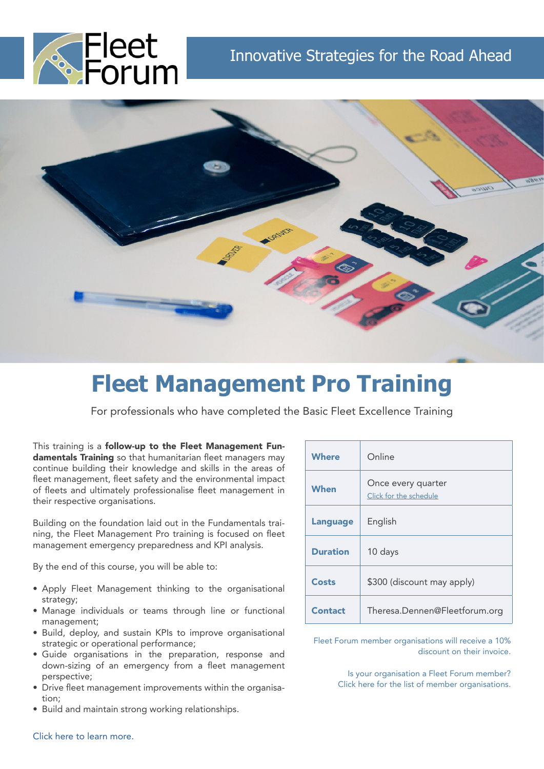



# **Fleet Management Pro Training**

For professionals who have completed the Basic Fleet Excellence Training

This training is a **follow-up to the Fleet Management Fun**damentals Training so that humanitarian fleet managers may continue building their knowledge and skills in the areas of fleet management, fleet safety and the environmental impact of fleets and ultimately professionalise fleet management in their respective organisations.

Building on the foundation laid out in the Fundamentals training, the Fleet Management Pro training is focused on fleet management emergency preparedness and KPI analysis.

By the end of this course, you will be able to:

- Apply Fleet Management thinking to the organisational strategy;
- Manage individuals or teams through line or functional management;
- Build, deploy, and sustain KPIs to improve organisational strategic or operational performance;
- Guide organisations in the preparation, response and down-sizing of an emergency from a fleet management perspective;
- Drive fleet management improvements within the organisation;
- Build and maintain strong working relationships.

| <b>Where</b>    | Online                                       |
|-----------------|----------------------------------------------|
| <b>When</b>     | Once every quarter<br>Click for the schedule |
| <b>Language</b> | English                                      |
| <b>Duration</b> | 10 days                                      |
| Costs           | \$300 (discount may apply)                   |
| <b>Contact</b>  | Theresa.Dennen@Fleetforum.org                |

[Fleet Forum member organisations will receive a 10%](https://www.fleetforum.org/member-organisations) [discount on their invoice.](https://www.fleetforum.org/member-organisations)

> [Is your organisation a Fleet Forum member?](https://www.fleetforum.org/member-organisations) [Click here for the list of member organisations.](https://www.fleetforum.org/member-organisations)